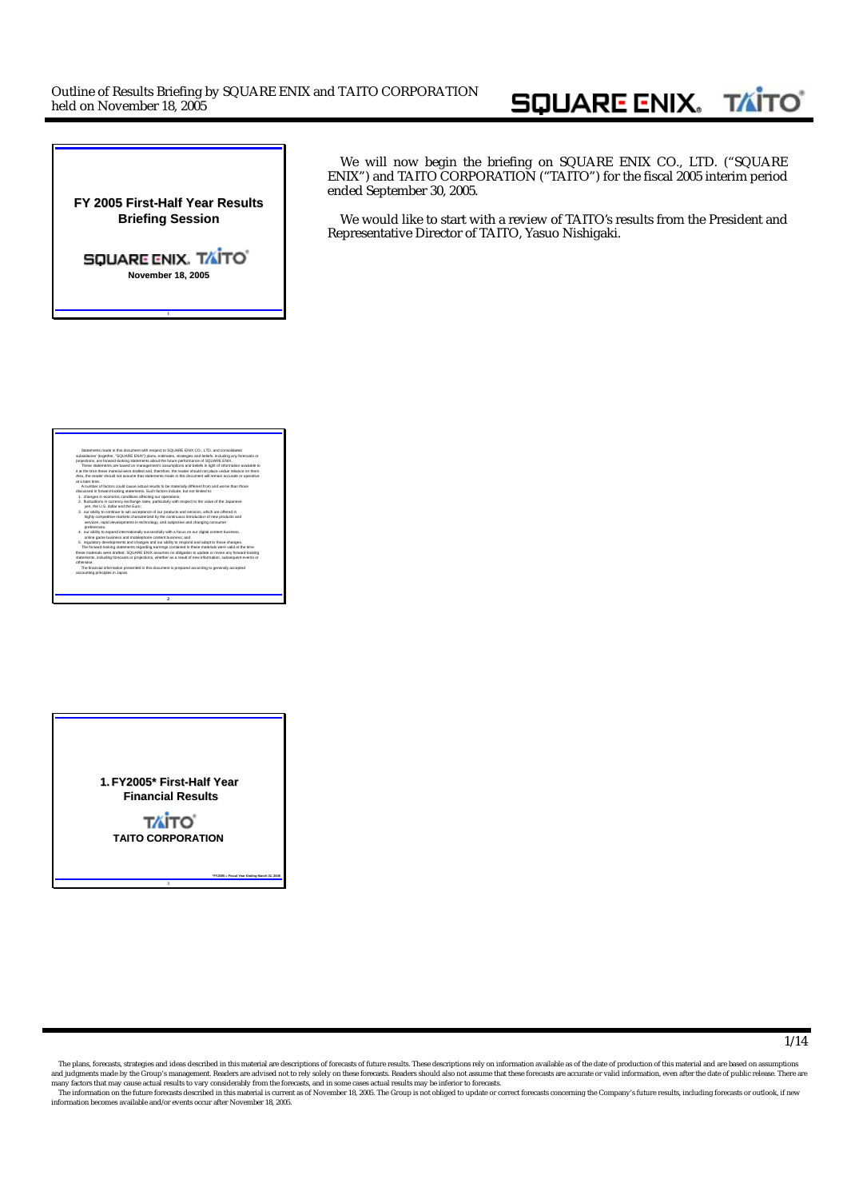## **SQUARE ENIX. TAITO**

**FY 2005 First-Half Year Results Briefing Session Briefing Session**

SQUARE ENIX. TAITO' **November 18, 2005**

**1**

We will now begin the briefing on SQUARE ENIX CO., LTD. ("SQUARE ENIX") and TAITO CORPORATION ("TAITO") for the fiscal 2005 interim period ended September 30, 2005.

We would like to start with a review of TAITO's results from the President and Representative Director of TAITO, Yasuo Nishigaki.

#### **2** Statements made in this document with respect to SQUARE ENIX CO., LTD. and consolidated subsidiaries' (together, "SQUARE ENIX") plans, estimates, strategies and beliefs, including any forecasts or projections, are forward-looking statements about the future performance of SQUARE ENIX. These statements are based on management's assumptions and beliefs in light of information available to it at the time these material were drafted and, therefore, the reader should not place undue reliance on them. Also, the reader should not assume that statements made in this document will remain accurate or operative at a later time. A number of factors could cause actual results to be materially different from and worse than those discussed in forward-looking statements. Such factors include, but not limited to: 1. changes in economic conditions affecting our operations; 2. fluctuations in currency exchange rates, particularly with respect to the value of the Japanese yen, the U.S. dollar and the Euro; 3. our ability to continue to win acceptance of our products and services, which are offered in highly competitive markets characterized by the continuous introduction of new products and services, rapid developments in technology, and subjective and changing consumer preferences; 4. our ability to expand internationally successfully with a focus on our digital content business, online game business and mobilephone content business; and 5. regulatory developments and changes and our ability to respond and adapt to those changes. The forward-looking statements regarding earnings contained in these materials were valid at the time these materials were drafted. SQUARE ENIX assumes no obligation to update or revise any forward-looking statements, including forecasts or projections, whether as a result of new information, subsequent events or otherwise. The financial information presented in this document is prepared according to generally accepted accounting principles in Japan.



**3**

**\*FY2005 = Fiscal Year Ending March 31, 2006**

1/14

The plans, forecasts, strategies and ideas described in this material are descriptions of forecasts of future results. These descriptions rely on information available as of the date of production of this material and are and judgments made by the Group's management. Readers are advised not to rely solely on these forecasts. Readers should also not assume that these forecasts are accurate or valid information, even after the date of public

The information on the future forecasts described in this material is current as of November 18, 2005. The Group is not obliged to update or correct forecasts concerning the Company's future results, including forecasts or information becomes available and/or events occur after November 18, 2005.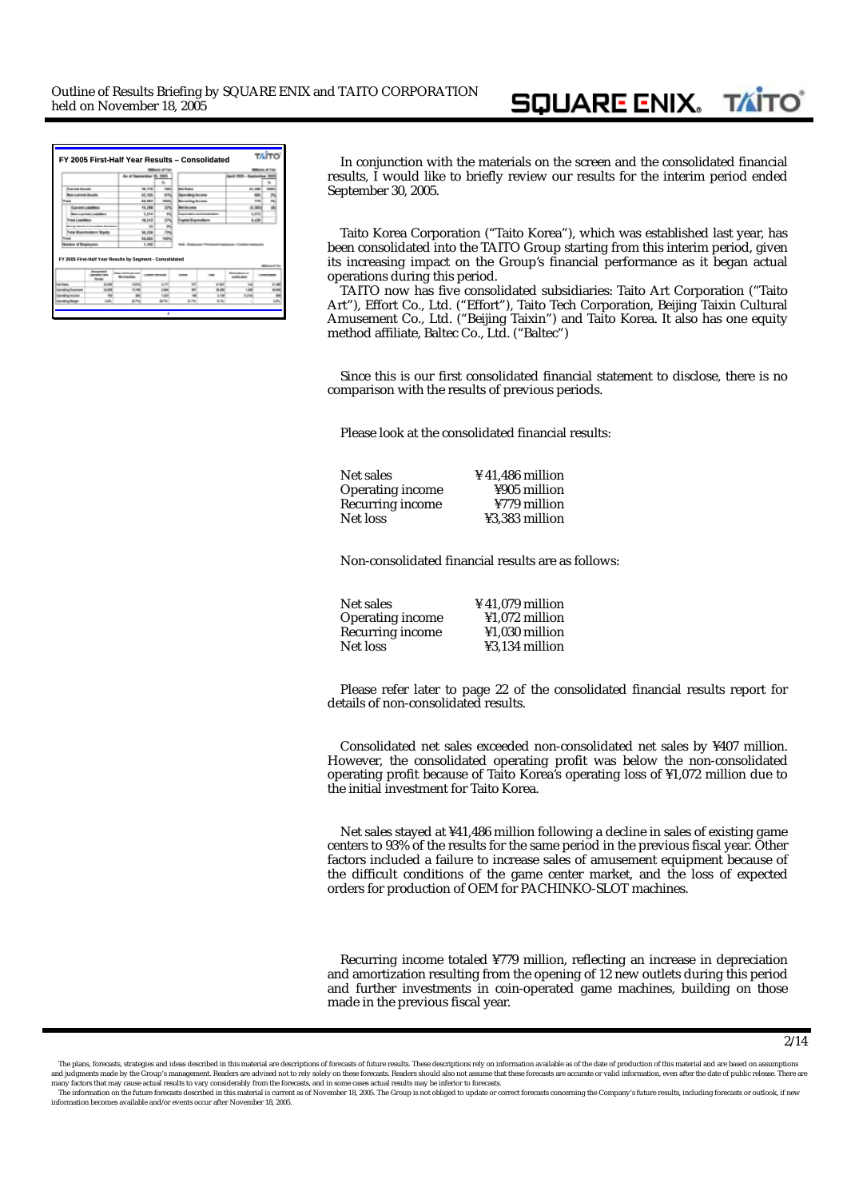|                                  |                                   | As of September 30, 2005                                                                                       |                  |               |                               |                           | April 2005 - September 2                                         |                                 |
|----------------------------------|-----------------------------------|----------------------------------------------------------------------------------------------------------------|------------------|---------------|-------------------------------|---------------------------|------------------------------------------------------------------|---------------------------------|
|                                  |                                   |                                                                                                                |                  |               |                               |                           |                                                                  |                                 |
| <b>Current Bonets</b>            |                                   |                                                                                                                | <b>36, 776</b>   | <b>MAY</b>    | <b>Sat Extent</b>             |                           | 41,494                                                           |                                 |
| <b>Antiument Assets</b>          |                                   |                                                                                                                | 43,556           | <b>AVIA</b>   | <b>Generalized Includes</b>   |                           |                                                                  | <b>MAY</b>                      |
|                                  |                                   |                                                                                                                | 48, 887          | source:       | <b>Recursing Incame</b>       |                           |                                                                  | $\overline{\phantom{a}}$<br>778 |
|                                  | <b>Great Liabilities</b>          |                                                                                                                | 15, 206          | <b>SON</b>    | <b><i><u>ATTACHER</u></i></b> |                           |                                                                  | 0.369                           |
|                                  | <b>Municipal Lighting</b>         |                                                                                                                | 5.244            | w             |                               | about and the colored and |                                                                  | 4.473                           |
| <b>Wall L. Jathaliers</b>        |                                   |                                                                                                                | 18,612           | m             | <b>Expiral Expenditure</b>    |                           |                                                                  | 6,436                           |
|                                  | as a few come basement            |                                                                                                                | bb)              | ۰             |                               |                           |                                                                  |                                 |
|                                  | <b>Total Shunsholders' Equity</b> |                                                                                                                | 50,556           | m             |                               |                           |                                                                  |                                 |
|                                  |                                   |                                                                                                                | 48,882           | <b>Noon</b>   |                               |                           |                                                                  |                                 |
| <b>John of Engineers</b>         |                                   |                                                                                                                | 1,180            |               |                               |                           | Employment & Pentruponell exterior enter - Candidad vehicle com- |                                 |
|                                  | kmusement<br>--                   | FY 2005 First-Half Year Results by Segment - Consolidated<br><b>Sales of Group and</b><br><b>Banding Allen</b> | Contact Services |               |                               |                           | <b>District Corp. or</b><br>stationals.                          | Witness of Your                 |
| <b>The Eleiter</b>               | 14,406                            | <b>GATH</b>                                                                                                    |                  | $+10$         | an                            | 45,600                    |                                                                  | 41,406                          |
| lawaing Experient                | 35,406                            | $1 - 40$                                                                                                       |                  | <b>Little</b> |                               | 38,000                    | 1,566                                                            | $\leftarrow$                    |
|                                  |                                   |                                                                                                                |                  | 1,500         |                               | 1.140                     | <b>PUM</b>                                                       | m                               |
| lparatry/nuuru<br>lasming Horain | in street                         | <b>ATM</b>                                                                                                     |                  | 38.7%         | 2179.                         | 55.7%                     |                                                                  | <b>LON</b>                      |

**FY 2005 First FY 2005 First-Half Year Results Half Year Results – Consolidated Consolidated** In conjunction with the materials on the screen and the consolidated financial results, I would like to briefly review our results for the interim period ended September 30, 2005.

Taito Korea Corporation ("Taito Korea"), which was established last year, has been consolidated into the TAITO Group starting from this interim period, given its increasing impact on the Group's financial performance as it began actual operations during this period.

TAITO now has five consolidated subsidiaries: Taito Art Corporation ("Taito Art"), Effort Co., Ltd. ("Effort"), Taito Tech Corporation, Beijing Taixin Cultural Amusement Co., Ltd. ("Beijing Taixin") and Taito Korea. It also has one equity method affiliate, Baltec Co., Ltd. ("Baltec")

Since this is our first consolidated financial statement to disclose, there is no comparison with the results of previous periods.

Please look at the consolidated financial results:

Net sales<br>Income  $\frac{441,486 \text{ million}}{4905 \text{ million}}$ Operating income  $\frac{4905}{779}$  million Recurring income Net loss  $\frac{1}{3}$ ,383 million

Non-consolidated financial results are as follows:

Net sales<br>  $\frac{441,079 \text{ million}}{1.072 \text{ million}}$ Operating income  $\frac{$1,072 \text{ million}}{1,030 \text{ million}}$ Recurring income<br>Net loss ¥3,134 million

Please refer later to page 22 of the consolidated financial results report for details of non-consolidated results.

Consolidated net sales exceeded non-consolidated net sales by ¥407 million. However, the consolidated operating profit was below the non-consolidated operating profit because of Taito Korea's operating loss of ¥1,072 million due to the initial investment for Taito Korea.

Net sales stayed at ¥41,486 million following a decline in sales of existing game centers to 93% of the results for the same period in the previous fiscal year. Other factors included a failure to increase sales of amusement equipment because of the difficult conditions of the game center market, and the loss of expected orders for production of OEM for PACHINKO-SLOT machines.

Recurring income totaled ¥779 million, reflecting an increase in depreciation and amortization resulting from the opening of 12 new outlets during this period and further investments in coin-operated game machines, building on those made in the previous fiscal year.

The plans, forecasts, strategies and ideas described in this material are descriptions of forecasts of future results. These descriptions rely on information available as of the date of production of this material and are and judgments made by the Group's management. Readers are advised not to rely solely on these forecasts. Readers should also not assume that these forecasts are accurate or valid information, even after the date of public

The information on the future forecasts described in this material is current as of November 18, 2005. The Group is not obliged to update or correct forecasts concerning the Company's future results, including forecasts or information becomes available and/or events occur after November 18, 2005.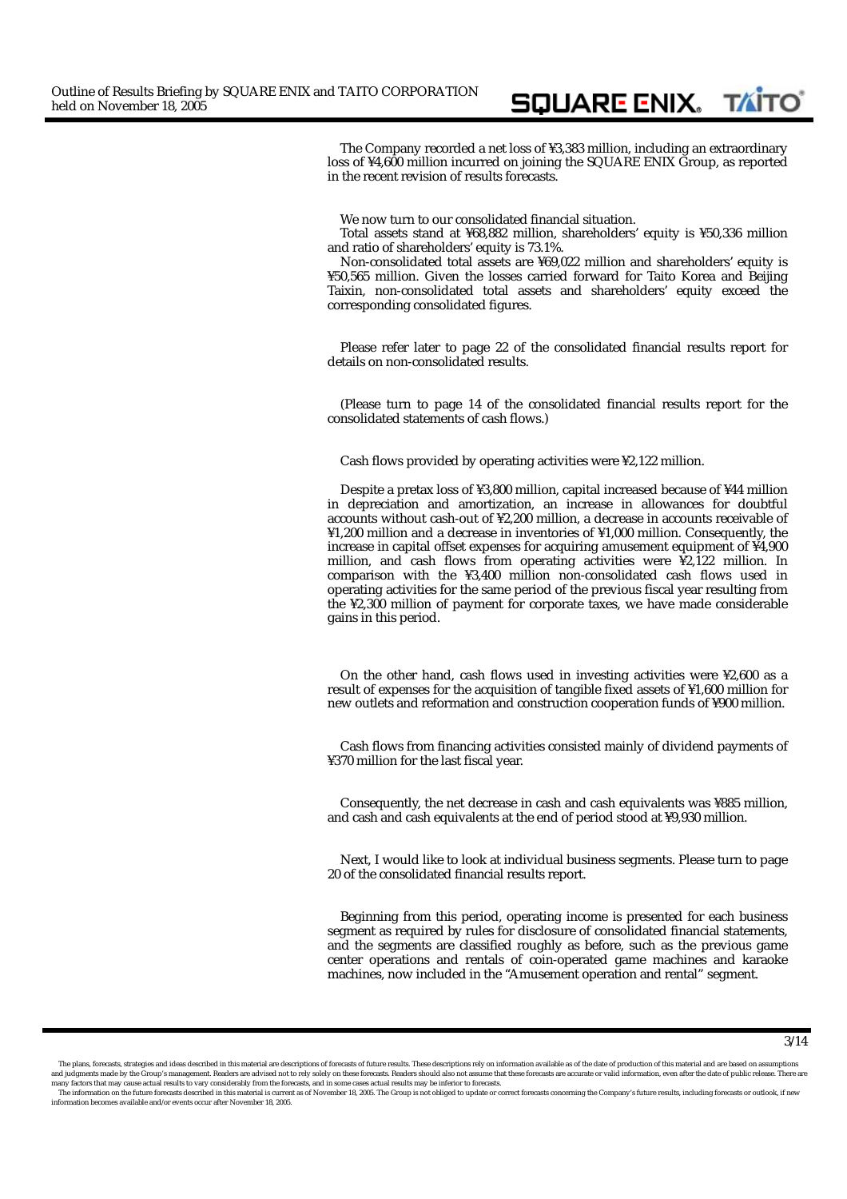The Company recorded a net loss of ¥3,383 million, including an extraordinary loss of ¥4,600 million incurred on joining the SQUARE ENIX Group, as reported in the recent revision of results forecasts.

SQUARE ENIX. TAITO

We now turn to our consolidated financial situation.

Total assets stand at ¥68,882 million, shareholders' equity is ¥50,336 million and ratio of shareholders' equity is 73.1%.

Non-consolidated total assets are ¥69,022 million and shareholders' equity is ¥50,565 million. Given the losses carried forward for Taito Korea and Beijing Taixin, non-consolidated total assets and shareholders' equity exceed the corresponding consolidated figures.

Please refer later to page 22 of the consolidated financial results report for details on non-consolidated results.

(Please turn to page 14 of the consolidated financial results report for the consolidated statements of cash flows.)

Cash flows provided by operating activities were ¥2,122 million.

Despite a pretax loss of ¥3,800 million, capital increased because of ¥44 million in depreciation and amortization, an increase in allowances for doubtful accounts without cash-out of ¥2,200 million, a decrease in accounts receivable of ¥1,200 million and a decrease in inventories of ¥1,000 million. Consequently, the increase in capital offset expenses for acquiring amusement equipment of ¥4,900 million, and cash flows from operating activities were ¥2,122 million. In comparison with the ¥3,400 million non-consolidated cash flows used in operating activities for the same period of the previous fiscal year resulting from the ¥2,300 million of payment for corporate taxes, we have made considerable gains in this period.

On the other hand, cash flows used in investing activities were  $\frac{1}{2}$ , 600 as a result of expenses for the acquisition of tangible fixed assets of ¥1,600 million for new outlets and reformation and construction cooperation funds of ¥900 million.

Cash flows from financing activities consisted mainly of dividend payments of ¥370 million for the last fiscal year.

Consequently, the net decrease in cash and cash equivalents was ¥885 million, and cash and cash equivalents at the end of period stood at ¥9,930 million.

Next, I would like to look at individual business segments. Please turn to page 20 of the consolidated financial results report.

Beginning from this period, operating income is presented for each business segment as required by rules for disclosure of consolidated financial statements, and the segments are classified roughly as before, such as the previous game center operations and rentals of coin-operated game machines and karaoke machines, now included in the "Amusement operation and rental" segment.

The plans, forecasts, strategies and ideas described in this material are descriptions of forecasts of future results. These descriptions rely on information available as of the date of production of this material and are and judgments made by the Group's management. Readers are advised not to rely solely on these forecasts. Readers should also not assume that these forecasts are accurate or valid information, even after the date of public

The information on the future forecasts described in this material is current as of November 18, 2005. The Group is not obliged to update or correct forecasts concerning the Company's future results, including forecasts or information becomes available and/or events occur after November 18, 2005.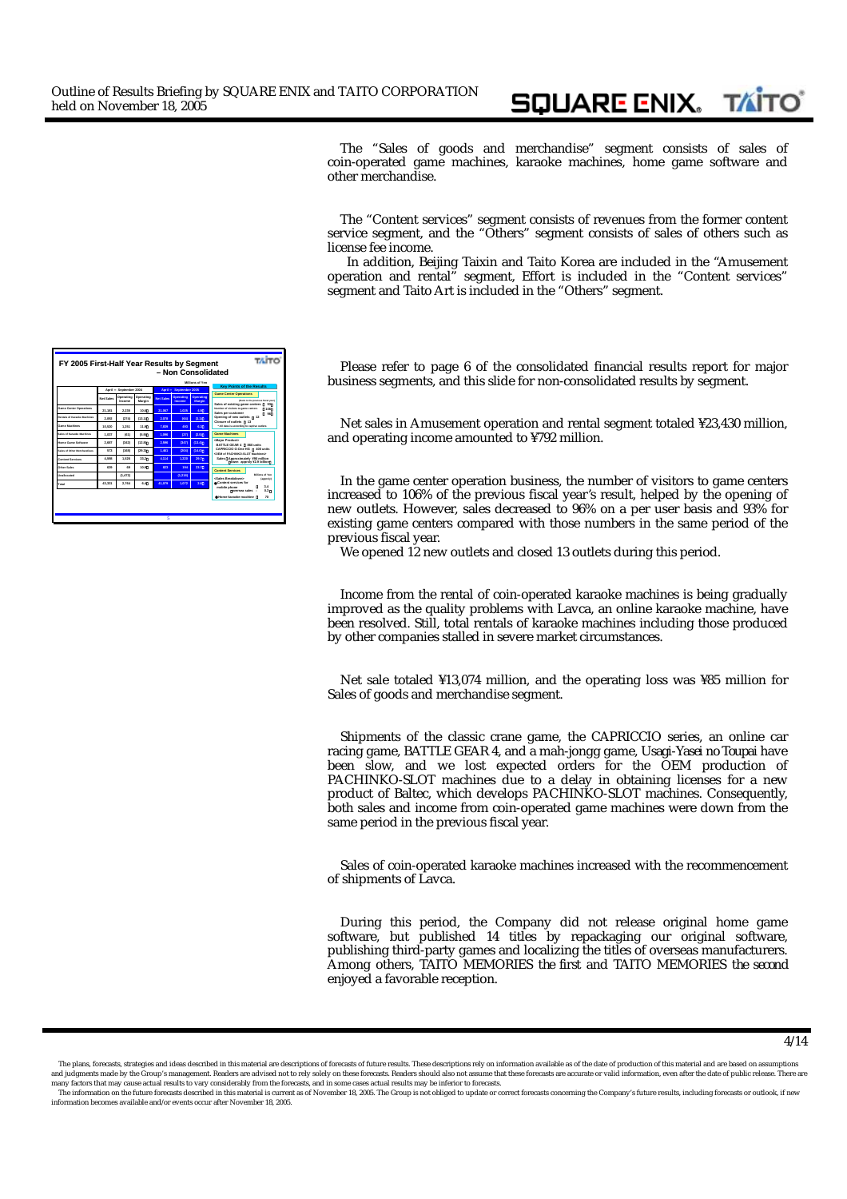The "Sales of goods and merchandise" segment consists of sales of coin-operated game machines, karaoke machines, home game software and other merchandise.

**SQUARE ENIX.** 

**TAITO** 

The "Content services" segment consists of revenues from the former content service segment, and the "Others" segment consists of sales of others such as license fee income.

 In addition, Beijing Taixin and Taito Korea are included in the "Amusement operation and rental" segment, Effort is included in the "Content services" segment and Taito Art is included in the "Others" segment.

Please refer to page 6 of the consolidated financial results report for major business segments, and this slide for non-consolidated results by segment.

Net sales in Amusement operation and rental segment totaled ¥23,430 million, and operating income amounted to ¥792 million.

In the game center operation business, the number of visitors to game centers increased to 106% of the previous fiscal year's result, helped by the opening of new outlets. However, sales decreased to 96% on a per user basis and 93% for existing game centers compared with those numbers in the same period of the previous fiscal year.

We opened 12 new outlets and closed 13 outlets during this period.

Income from the rental of coin-operated karaoke machines is being gradually improved as the quality problems with Lavca, an online karaoke machine, have been resolved. Still, total rentals of karaoke machines including those produced by other companies stalled in severe market circumstances.

Net sale totaled ¥13,074 million, and the operating loss was ¥85 million for Sales of goods and merchandise segment.

Shipments of the classic crane game, the *CAPRICCIO* series, an online car racing game, *BATTLE GEAR 4*, and a mah-jongg game, *Usagi-Yasei no Toupai* have been slow, and we lost expected orders for the OEM production of PACHINKO-SLOT machines due to a delay in obtaining licenses for a new product of Baltec, which develops PACHINKO-SLOT machines. Consequently, both sales and income from coin-operated game machines were down from the same period in the previous fiscal year.

Sales of coin-operated karaoke machines increased with the recommencement of shipments of Lavca.

During this period, the Company did not release original home game software, but published 14 titles by repackaging our original software, publishing third-party games and localizing the titles of overseas manufacturers. Among others, *TAITO MEMORIES the first* and *TAITO MEMORIES the second* enjoyed a favorable reception.

|                                    |           |                     |                     |                  |                            | - Non Consolidated         |                                                                                   |
|------------------------------------|-----------|---------------------|---------------------|------------------|----------------------------|----------------------------|-----------------------------------------------------------------------------------|
|                                    |           |                     |                     |                  |                            | Millions of Yan            | <b>Key Points of the Results</b>                                                  |
|                                    | April     | September 2004      |                     | Arvit            | <b>Rentember 2005</b>      |                            | <b>Game Center Operations</b>                                                     |
|                                    | Net Sales | Operating<br>Income | Operating<br>Margin | <b>Net Sales</b> | Operating<br><b>Income</b> | Operating<br><b>Margin</b> | (Satis to the previous fiscal year)<br>Sales of existing game centers<br>$\alpha$ |
| Game Center Operations             | 21.181    | 2.235               | 10.6                | 21.067           | 1.025                      | 49                         | Number of visitors to game centers<br>105<br>Sales per customer<br><b>on</b>      |
| Rentals of Karagke Machines        | 2.092     | (274)               | (13.1)              | 2.028            | (64)                       | (3,1)                      | Opening of new outlets<br>12<br>Closure of outlets<br>13                          |
| <b>Game Markinsa</b>               | 10.520    | 1.251               | 119                 | 7839             | <b>ANT</b>                 | 83                         | * All data is according to captive outlets                                        |
| <b>Sales of Karanka Marhines</b>   | 1.037     | (61)                | (5.9)               | 1.016            | (27)                       | (2.5)                      | <b>Game Machines</b>                                                              |
| <b>Home Game Software</b>          | 2.687     | (342)               | (12.8)              | 2.556            | (347)                      | (13.4)                     | <major product=""><br/><b>BATTLE OF AB 4</b><br/>880 units</major>                |
| <b>Sales of Other Merchandises</b> | 573       | (168)               | (22.3)              | 1,481            | (204)                      | (14.0)                     | CAPRICCIO G.One HG<br>400 units<br>CEM of PACHINED & OT Machinery                 |
| <b>Content Services</b>            | 4.598     | 1,526               | 33.2                | 4.114            | 1.235                      | 20.7                       | Sales Approximately V90 million<br>down appraly ¥2.9 billion                      |
| Other Sales                        | 639       | 6S)                 | 10.9                | 823              | 104                        | 23.7                       | <b>Content Services</b>                                                           |
| <b>Unallocated</b>                 |           | (1.472)             |                     |                  | (1.218)                    |                            | <b>Billions of Year</b><br>-Sales Resalctmans<br>(apprais)                        |
| Total                              | 43,331    | 2,764               | 6.4                 | 41.079           | 1.072                      | 28                         | Contant services for<br>34<br>mobile ohone                                        |
|                                    |           |                     |                     |                  |                            |                            | 0.3<br>concesso soles -<br>Home karanka marhine<br>$\mathbf{m}$                   |

The plans, forecasts, strategies and ideas described in this material are descriptions of forecasts of future results. These descriptions rely on information available as of the date of production of this material and are and judgments made by the Group's management. Readers are advised not to rely solely on these forecasts. Readers should also not assume that these forecasts are accurate or valid information, even after the date of public

The information on the future forecasts described in this material is current as of November 18, 2005. The Group is not obliged to update or correct forecasts concerning the Company's future results, including forecasts or information becomes available and/or events occur after November 18, 2005.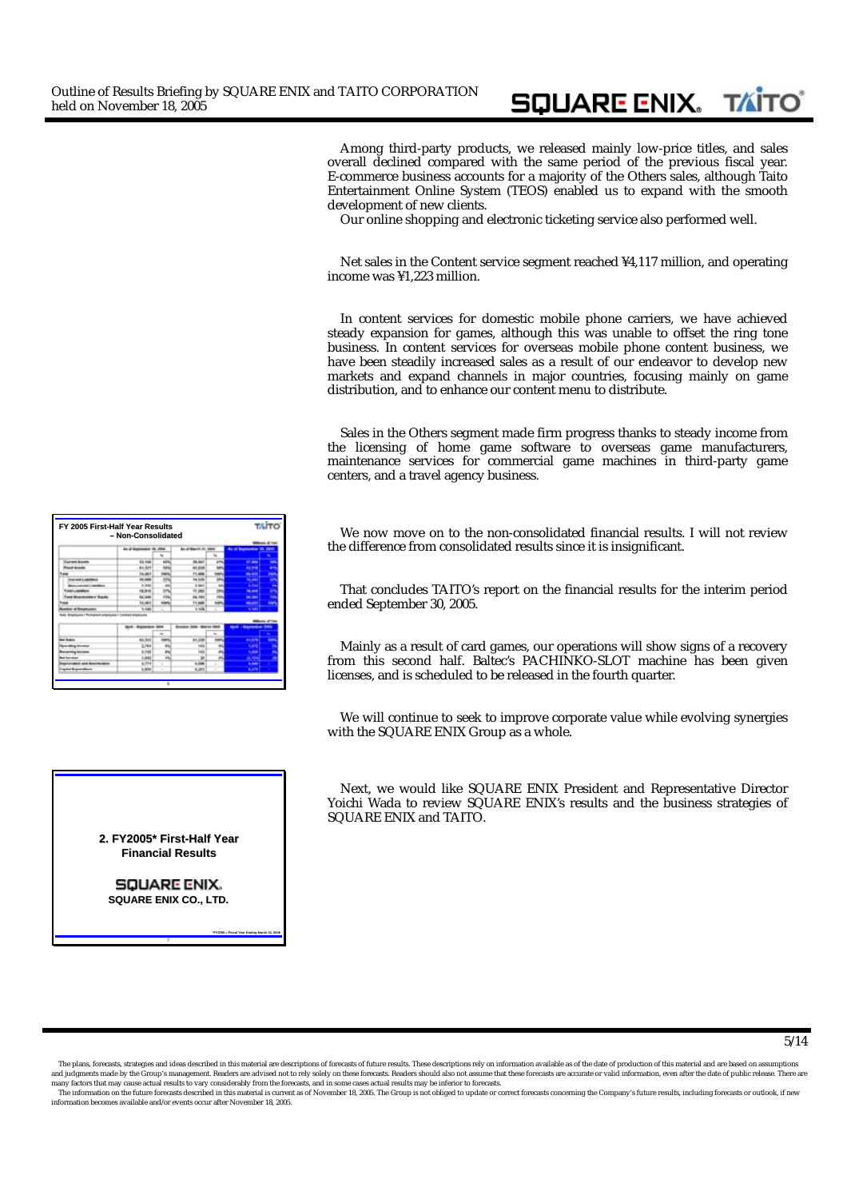Among third-party products, we released mainly low-price titles, and sales overall declined compared with the same period of the previous fiscal year. E-commerce business accounts for a majority of the Others sales, although Taito Entertainment Online System (TEOS) enabled us to expand with the smooth development of new clients.

**SQUARE ENIX. TAITO** 

Our online shopping and electronic ticketing service also performed well.

Net sales in the Content service segment reached ¥4,117 million, and operating income was ¥1,223 million.

In content services for domestic mobile phone carriers, we have achieved steady expansion for games, although this was unable to offset the ring tone business. In content services for overseas mobile phone content business, we have been steadily increased sales as a result of our endeavor to develop new markets and expand channels in major countries, focusing mainly on game distribution, and to enhance our content menu to distribute.

Sales in the Others segment made firm progress thanks to steady income from the licensing of home game software to overseas game manufacturers, maintenance services for commercial game machines in third-party game centers, and a travel agency business.

We now move on to the non-consolidated financial results. I will not review the difference from consolidated results since it is insignificant.

That concludes TAITO's report on the financial results for the interim period ended September 30, 2005.

Mainly as a result of card games, our operations will show signs of a recovery from this second half. Baltec's PACHINKO-SLOT machine has been given licenses, and is scheduled to be released in the fourth quarter.

We will continue to seek to improve corporate value while evolving synergies with the SQUARE ENIX Group as a whole.

Next, we would like SQUARE ENIX President and Representative Director Yoichi Wada to review SQUARE ENIX's results and the business strategies of SQUARE ENIX and TAITO.

| FY 2005 First-Half Year Results                  | - Non-Consolidated       |                          |                       |       |                        | <b>TAITO</b> |
|--------------------------------------------------|--------------------------|--------------------------|-----------------------|-------|------------------------|--------------|
|                                                  | As of Andreway, In. 2004 |                          | <b>BLUE March 21.</b> |       | <b>BA OF BANKINGHI</b> |              |
|                                                  |                          |                          |                       |       |                        |              |
| <b>Gumeral Assuria</b>                           | 55,546                   | All Co                   | <b>Johnson</b>        | A HOL | $\sim$                 | ٠            |
| -----                                            | \$1,321                  | <b>LES</b>               | 41, 614               |       | 10.94                  | ٠            |
|                                                  | <b>DELANDS</b>           | <b>HARMS</b>             | 71,666                |       | <b>PRINT</b>           | ٠            |
| samud Lodedoni                                   | 16.000                   | m                        | 14,509                |       | $n = 1$                |              |
| <b>Callista Liabilities</b>                      | 8,994                    | m                        | 9,687                 |       | <b>The Contract</b>    | ٠            |
|                                                  | 19, 810                  | m                        | 17,483                |       | <b>No and</b>          |              |
| <b>Charles Calledge</b>                          | <b>SAL FLAM</b>          | First.                   | <b>bd. 1003</b>       |       | <b>MA FAMI</b>         |              |
|                                                  | <b>Included</b>          | $\overline{\phantom{a}}$ | 11,466                |       | -                      |              |
| of Employment                                    | 1,146                    | Ξ                        | 11, 15, 16            |       | <b>SCHOOL</b>          |              |
| remuses 1 Partnered unaniuma / Carthad engineers |                          | 1414                     |                       | 144   | -<br>--                | a af Yu<br>- |
| ,,,,,,                                           | 69,811                   |                          | <b>AD 278</b>         |       |                        | -            |
|                                                  | 3,764                    |                          | œ                     |       | <b>Kale</b>            |              |
| --                                               | 6,749                    | m                        | m                     |       |                        |              |
|                                                  | <b>KANE</b>              | m                        |                       |       | <b>CARD COMMAND</b>    |              |
| --                                               | 1.111                    |                          | -                     |       | <b>START</b>           |              |
|                                                  | <b>Liste</b>             |                          |                       |       |                        |              |
| --                                               |                          | ÷                        | 6,80                  |       | 4,376                  |              |

**2. FY2005\* First FY2005\* First-Half Year Half Year Financial Results**

> **SQUARE ENIX. SQUARE ENIX CO., LTD.**

> > **7**

**\*FY2005 = Fiscal Year Ending March 31, 2006**

The plans, forecasts, strategies and ideas described in this material are descriptions of forecasts of future results. These descriptions rely on information available as of the date of production of this material and are and judgments made by the Group's management. Readers are advised not to rely solely on these forecasts. Readers should also not assume that these forecasts are accurate or valid information, even after the date of public

The information on the future forecasts described in this material is current as of November 18, 2005. The Group is not obliged to update or correct forecasts concerning the Company's future results, including forecasts or information becomes available and/or events occur after November 18, 2005.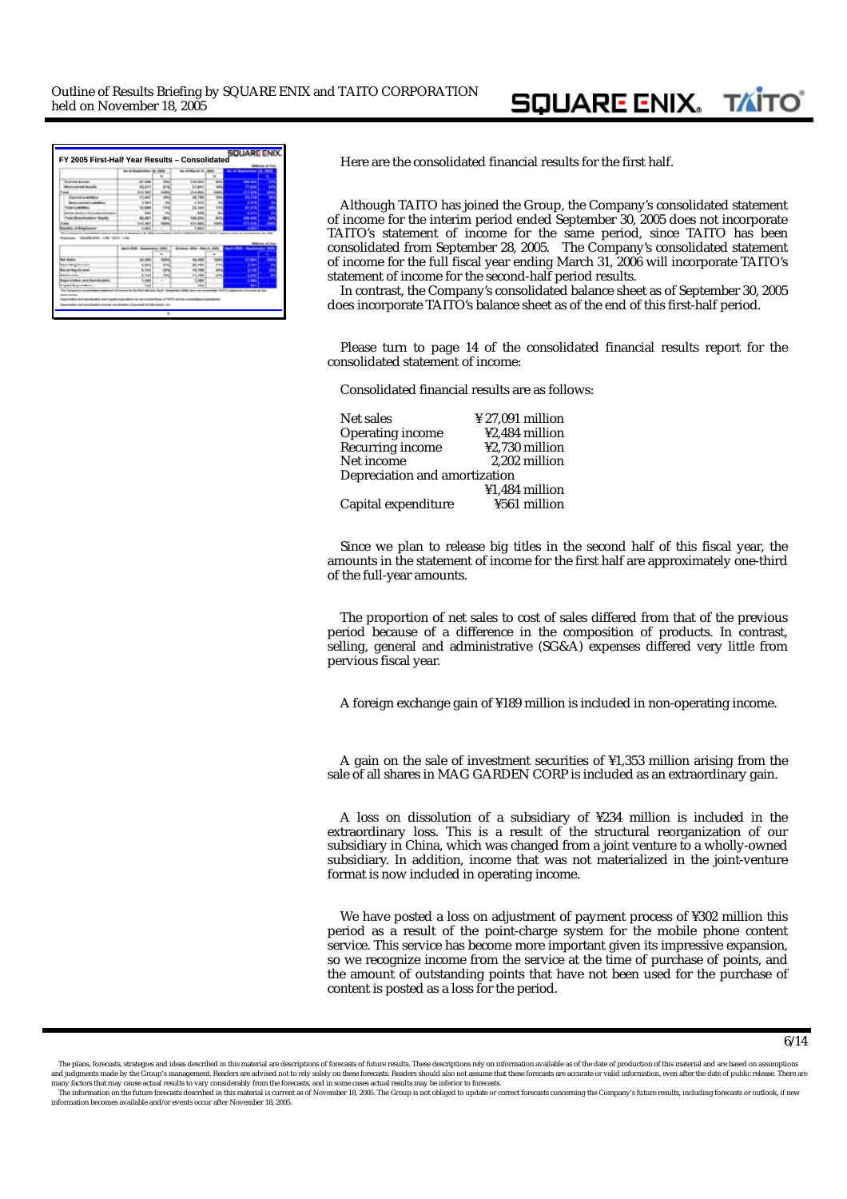|                                                                  | An of Euchamed IR, 2000 |               | As armored 21, 2000<br>÷ | As of becomings in June                    |               |
|------------------------------------------------------------------|-------------------------|---------------|--------------------------|--------------------------------------------|---------------|
|                                                                  |                         |               |                          |                                            |               |
| Guarant Assets                                                   | <b>ALL AVEN</b>         | <b>First</b>  | 116,063                  | <b>Colorado Antonio</b>                    |               |
| ----                                                             | <b><i>PA NATA</i></b>   | 6976          | 31,444                   | $\sim$                                     |               |
| <b>Suite</b>                                                     | <b>HALLMAN</b>          | <b>Lights</b> | 434,686                  | <b>CITY APRA</b>                           | -             |
| <b>MAY LAND MAY</b>                                              | $-44$                   | $\frac{1}{2}$ | 46,746                   | <b>ALCOHOL</b>                             | ٠             |
| <b>AN EXPRESS LIMITED</b>                                        | <b>S. Sep 4</b>         | $\sim$        | 4,996                    | 1,279                                      | ٠             |
| ---                                                              |                         | 145           | 23 444                   |                                            | ٠             |
| <b>ALCOHOL:</b>                                                  | <b>SAMPLE</b>           | $\sim$        | $-14$                    | <b>A Service</b>                           | ۰             |
| war Monettenberg Tito                                            |                         | $\cdots$      | 444,844                  |                                            |               |
|                                                                  |                         |               |                          |                                            |               |
| <b>Sales</b>                                                     | <b>COLL SINT</b>        | <b>HARRY</b>  | 434,686                  | <b>The Service</b>                         | -             |
| en altra<br>references - Milliannis Kreis, 1,546, TaxFill, 1,146 |                         |               | $-100$                   | . .<br>LEASING MORE ON A SHARROOM OR CARD. |               |
|                                                                  |                         |               |                          |                                            | <b>NUMBER</b> |
|                                                                  |                         |               |                          |                                            |               |
| 15.44                                                            | $-$                     |               | 4.444                    | ۰                                          | -             |
|                                                                  | <b>ALC</b>              | <b>Eart</b>   |                          |                                            |               |
| ---                                                              | <b>HA</b>               | 193           |                          | ۰                                          |               |
|                                                                  | <b>SER</b>              | <b>KRA</b>    | <b>AT PAR</b>            |                                            |               |
| --                                                               | . .<br>44               |               |                          | ۰                                          |               |
| $24.0 - 10.0$                                                    | mus                     |               | <b>Had</b>               | -                                          |               |

**FY 2005 First FY 2005 First-Half Year Results Half Year Results – Consolidated Consolidated** Here are the consolidated financial results for the first half.

Although TAITO has joined the Group, the Company's consolidated statement of income for the interim period ended September 30, 2005 does not incorporate TAITO's statement of income for the same period, since TAITO has been consolidated from September 28, 2005. The Company's consolidated statement of income for the full fiscal year ending March 31, 2006 will incorporate TAITO's statement of income for the second-half period results.

In contrast, the Company's consolidated balance sheet as of September 30, 2005 does incorporate TAITO's balance sheet as of the end of this first-half period.

Please turn to page 14 of the consolidated financial results report for the consolidated statement of income:

Consolidated financial results are as follows:

| Net sales                     | $\frac{1}{2}$ 27,091 million |
|-------------------------------|------------------------------|
| Operating income              | ¥2.484 million               |
| Recurring income              | ¥2,730 million               |
| Net income                    | 2.202 million                |
| Depreciation and amortization |                              |
|                               | ¥1,484 million               |
| Capital expenditure           | ¥561 million                 |

Since we plan to release big titles in the second half of this fiscal year, the amounts in the statement of income for the first half are approximately one-third of the full-year amounts.

The proportion of net sales to cost of sales differed from that of the previous period because of a difference in the composition of products. In contrast, selling, general and administrative (SG&A) expenses differed very little from pervious fiscal year.

A foreign exchange gain of ¥189 million is included in non-operating income.

A gain on the sale of investment securities of ¥1,353 million arising from the sale of all shares in MAG GARDEN CORP is included as an extraordinary gain.

A loss on dissolution of a subsidiary of ¥234 million is included in the extraordinary loss. This is a result of the structural reorganization of our subsidiary in China, which was changed from a joint venture to a wholly-owned subsidiary. In addition, income that was not materialized in the joint-venture format is now included in operating income.

We have posted a loss on adjustment of payment process of ¥302 million this period as a result of the point-charge system for the mobile phone content service. This service has become more important given its impressive expansion, so we recognize income from the service at the time of purchase of points, and the amount of outstanding points that have not been used for the purchase of content is posted as a loss for the period.

The plans, forecasts, strategies and ideas described in this material are descriptions of forecasts of future results. These descriptions rely on information available as of the date of production of this material and are and judgments made by the Group's management. Readers are advised not to rely solely on these forecasts. Readers should also not assume that these forecasts are accurate or valid information, even after the date of public

The information on the future forecasts described in this material is current as of November 18, 2005. The Group is not obliged to update or correct forecasts concerning the Company's future results, including forecasts or information becomes available and/or events occur after November 18, 2005.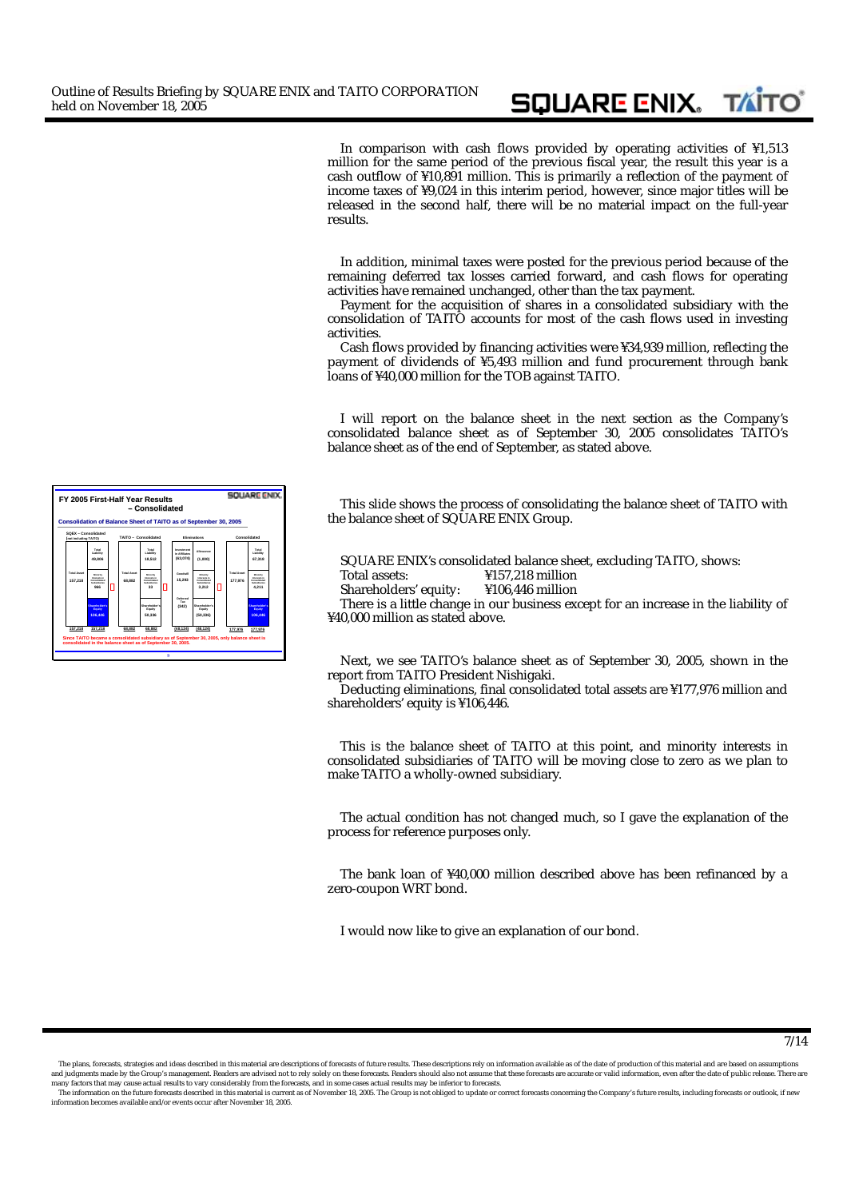In comparison with cash flows provided by operating activities of ¥1,513 million for the same period of the previous fiscal year, the result this year is a cash outflow of ¥10,891 million. This is primarily a reflection of the payment of income taxes of ¥9,024 in this interim period, however, since major titles will be released in the second half, there will be no material impact on the full-year results.

**SQUARE ENIX. TAITO** 

In addition, minimal taxes were posted for the previous period because of the remaining deferred tax losses carried forward, and cash flows for operating activities have remained unchanged, other than the tax payment.

Payment for the acquisition of shares in a consolidated subsidiary with the consolidation of TAITO accounts for most of the cash flows used in investing activities.

Cash flows provided by financing activities were ¥34,939 million, reflecting the payment of dividends of ¥5,493 million and fund procurement through bank loans of ¥40,000 million for the TOB against TAITO.

I will report on the balance sheet in the next section as the Company's consolidated balance sheet as of September 30, 2005 consolidates TAITO's balance sheet as of the end of September, as stated above.

This slide shows the process of consolidating the balance sheet of TAITO with the balance sheet of SQUARE ENIX Group.

SQUARE ENIX's consolidated balance sheet, excluding TAITO, shows:<br>Total assets:  $\frac{4157,218 \text{ million}}{4157,218 \text{ million}}$ 

- $Y157,218$  million<br> $Y106446$  million
- Shareholders' equity:

There is a little change in our business except for an increase in the liability of ¥40,000 million as stated above.

Next, we see TAITO's balance sheet as of September 30, 2005, shown in the report from TAITO President Nishigaki.

Deducting eliminations, final consolidated total assets are ¥177,976 million and shareholders' equity is ¥106,446.

This is the balance sheet of TAITO at this point, and minority interests in consolidated subsidiaries of TAITO will be moving close to zero as we plan to make TAITO a wholly-owned subsidiary.

The actual condition has not changed much, so I gave the explanation of the process for reference purposes only.

The bank loan of ¥40,000 million described above has been refinanced by a zero-coupon WRT bond.

I would now like to give an explanation of our bond.



7/14

The plans, forecasts, strategies and ideas described in this material are descriptions of forecasts of future results. These descriptions rely on information available as of the date of production of this material and are and judgments made by the Group's management. Readers are advised not to rely solely on these forecasts. Readers should also not assume that these forecasts are accurate or valid information, even after the date of public

The information on the future forecasts described in this material is current as of November 18, 2005. The Group is not obliged to update or correct forecasts concerning the Company's future results, including forecasts or en and and and/or events occur after November 18, 2005.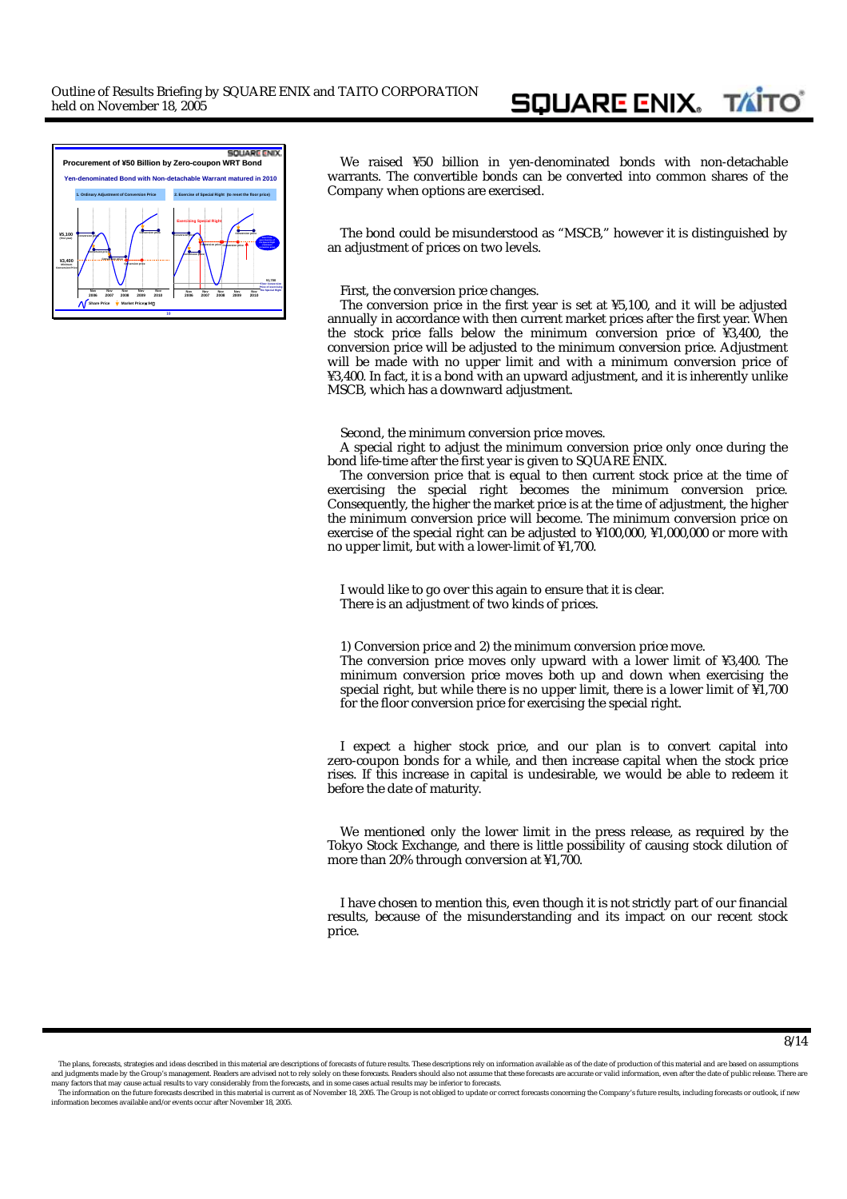

We raised ¥50 billion in yen-denominated bonds with non-detachable warrants. The convertible bonds can be converted into common shares of the Company when options are exercised.

The bond could be misunderstood as "MSCB," however it is distinguished by an adjustment of prices on two levels.

#### First, the conversion price changes.

The conversion price in the first year is set at ¥5,100, and it will be adjusted annually in accordance with then current market prices after the first year. When the stock price falls below the minimum conversion price of ¥3,400, the conversion price will be adjusted to the minimum conversion price. Adjustment will be made with no upper limit and with a minimum conversion price of ¥3,400. In fact, it is a bond with an upward adjustment, and it is inherently unlike MSCB, which has a downward adjustment.

Second, the minimum conversion price moves.

A special right to adjust the minimum conversion price only once during the bond life-time after the first year is given to SQUARE ENIX.

The conversion price that is equal to then current stock price at the time of exercising the special right becomes the minimum conversion price. Consequently, the higher the market price is at the time of adjustment, the higher the minimum conversion price will become. The minimum conversion price on exercise of the special right can be adjusted to ¥100,000, ¥1,000,000 or more with no upper limit, but with a lower-limit of ¥1,700.

I would like to go over this again to ensure that it is clear. There is an adjustment of two kinds of prices.

1) Conversion price and 2) the minimum conversion price move.

The conversion price moves only upward with a lower limit of ¥3,400. The minimum conversion price moves both up and down when exercising the special right, but while there is no upper limit, there is a lower limit of ¥1,700 for the floor conversion price for exercising the special right.

I expect a higher stock price, and our plan is to convert capital into zero-coupon bonds for a while, and then increase capital when the stock price rises. If this increase in capital is undesirable, we would be able to redeem it before the date of maturity.

We mentioned only the lower limit in the press release, as required by the Tokyo Stock Exchange, and there is little possibility of causing stock dilution of more than 20% through conversion at ¥1,700.

I have chosen to mention this, even though it is not strictly part of our financial results, because of the misunderstanding and its impact on our recent stock price.

 <sup>8/14</sup>

The plans, forecasts, strategies and ideas described in this material are descriptions of forecasts of future results. These descriptions rely on information available as of the date of production of this material and are and judgments made by the Group's management. Readers are advised not to rely solely on these forecasts. Readers should also not assume that these forecasts are accurate or valid information, even after the date of public

The information on the future forecasts described in this material is current as of November 18, 2005. The Group is not obliged to update or correct forecasts concerning the Company's future results, including forecasts or information becomes available and/or events occur after November 18, 2005.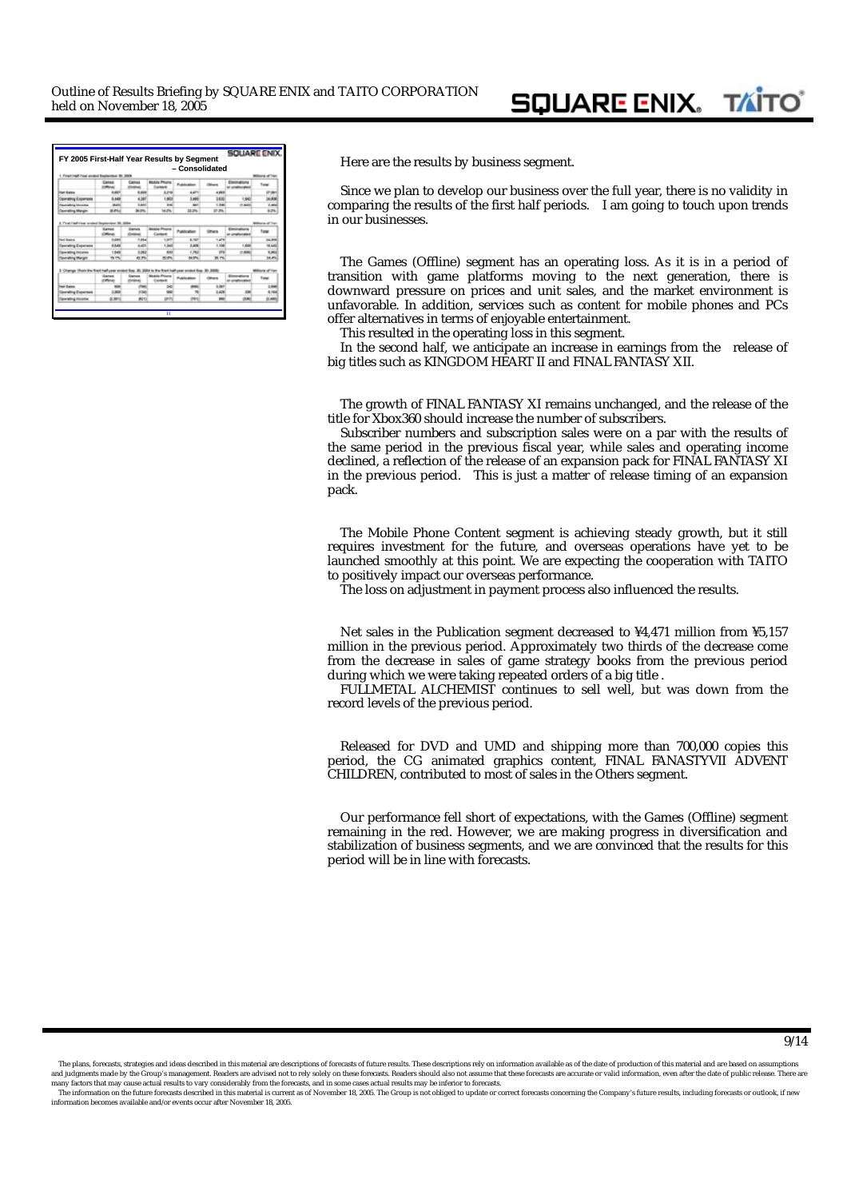|                                                                                                       |                |                                 |                                | FY 2005 First-Half Year Results by Segment<br>- Consolidated |                     |                                           |                            |
|-------------------------------------------------------------------------------------------------------|----------------|---------------------------------|--------------------------------|--------------------------------------------------------------|---------------------|-------------------------------------------|----------------------------|
| 1. First Half-feat styled September 31, 2006                                                          |                |                                 |                                |                                                              |                     |                                           | Bone of Te                 |
|                                                                                                       |                | <b>Cames</b><br><b>Kindings</b> | Mobile Phone<br>Eastern        | Publication                                                  | <b>College on</b>   | Electronics<br><b><i>Constitution</i></b> | Total                      |
| at Sales                                                                                              | 1,440          | 6,806                           | 3.2%                           | 4,471                                                        | 4,882               |                                           |                            |
| ating Expenses                                                                                        | 9.449          | 4,366                           | 1,963                          | 3,490                                                        | 3,600               | 1,947                                     | 14.00                      |
| <b>A Shrivening</b>                                                                                   | <b>BAT</b>     | 1,611                           | <b>THE</b>                     | <b>MAY</b>                                                   | 1,500               | (1.342)                                   | 1,454                      |
| <b>Committed Margin</b>                                                                               | di artico      | 36.0%                           | 54.2%                          | 21.7%                                                        | 27.2%               |                                           | 9.2%                       |
| <b>Sed Bales</b>                                                                                      | 5,244          | 7,884                           | 1,877                          | 6,187                                                        | 1,479               |                                           | 24,286                     |
|                                                                                                       | $-$            | <b>Kindley</b>                  | Contact                        | Publication                                                  | <b>College Inc.</b> | ar unafarrata                             | Total                      |
| learsing Expenses                                                                                     | 4,644          | 4,404                           | 1,340                          | 3,406                                                        | Hotel               | 1,406                                     | 95, 640                    |
| <b>Specializing Allocation</b>                                                                        | 1,548          | 3,062                           | 681                            | 1.762                                                        | m                   | 0.880                                     | 5,962                      |
| <b>Township Margin</b>                                                                                | 19.1%          | 43.7%                           | 32, 25%                        | 34.0%                                                        | 35.7%               |                                           | 34.4%                      |
| 3. Change: Show the first half year ended fies. 30. 3904 to the first half year ended fies. 30. 3900. | <b>General</b> | Games                           | <b>Mobile Phone</b><br>Contact | Publication                                                  | <b>Marine</b>       | Electrodium<br><b><i>Admitted Max</i></b> | ons of Yar<br><b>False</b> |
|                                                                                                       | --<br>m        | <b>COMPANY</b><br><b>CTAB</b>   | ×                              | m                                                            | 3,367               |                                           | 2,896                      |
|                                                                                                       | 189            | 834                             |                                |                                                              | 3,408               | 336                                       | 6,164                      |
| and States                                                                                            |                |                                 |                                | m                                                            | w                   | <b>CEME</b>                               | 0.44                       |
| <b>Georging Expenses</b><br>gerating incense                                                          | 6.891          | did no                          | an in                          |                                                              |                     |                                           |                            |

**Here are the results by business segment.** 

Since we plan to develop our business over the full year, there is no validity in comparing the results of the first half periods. I am going to touch upon trends in our businesses.

The Games (Offline) segment has an operating loss. As it is in a period of transition with game platforms moving to the next generation, there is downward pressure on prices and unit sales, and the market environment is unfavorable. In addition, services such as content for mobile phones and PCs offer alternatives in terms of enjoyable entertainment.

This resulted in the operating loss in this segment.

In the second half, we anticipate an increase in earnings from the release of big titles such as *KINGDOM HEART II* and *FINAL FANTASY XII.* 

The growth of *FINAL FANTASY XI* remains unchanged, and the release of the title for Xbox360 should increase the number of subscribers.

Subscriber numbers and subscription sales were on a par with the results of the same period in the previous fiscal year, while sales and operating income declined, a reflection of the release of an expansion pack for *FINAL FANTASY XI*  in the previous period. This is just a matter of release timing of an expansion pack.

The Mobile Phone Content segment is achieving steady growth, but it still requires investment for the future, and overseas operations have yet to be launched smoothly at this point. We are expecting the cooperation with TAITO to positively impact our overseas performance.

The loss on adjustment in payment process also influenced the results.

Net sales in the Publication segment decreased to ¥4,471 million from ¥5,157 million in the previous period. Approximately two thirds of the decrease come from the decrease in sales of game strategy books from the previous period during which we were taking repeated orders of a big title .

*FULLMETAL ALCHEMIST* continues to sell well, but was down from the record levels of the previous period.

Released for DVD and UMD and shipping more than 700,000 copies this period, the CG animated graphics content, *FINAL FANASTYVII ADVENT CHILDREN,* contributed to most of sales in the Others segment.

Our performance fell short of expectations, with the Games (Offline) segment remaining in the red. However, we are making progress in diversification and stabilization of business segments, and we are convinced that the results for this period will be in line with forecasts.

The plans, forecasts, strategies and ideas described in this material are descriptions of forecasts of future results. These descriptions rely on information available as of the date of production of this material and are and judgments made by the Group's management. Readers are advised not to rely solely on these forecasts. Readers should also not assume that these forecasts are accurate or valid information, even after the date of public

The information on the future forecasts described in this material is current as of November 18, 2005. The Group is not obliged to update or correct forecasts concerning the Company's future results, including forecasts or information becomes available and/or events occur after November 18, 2005.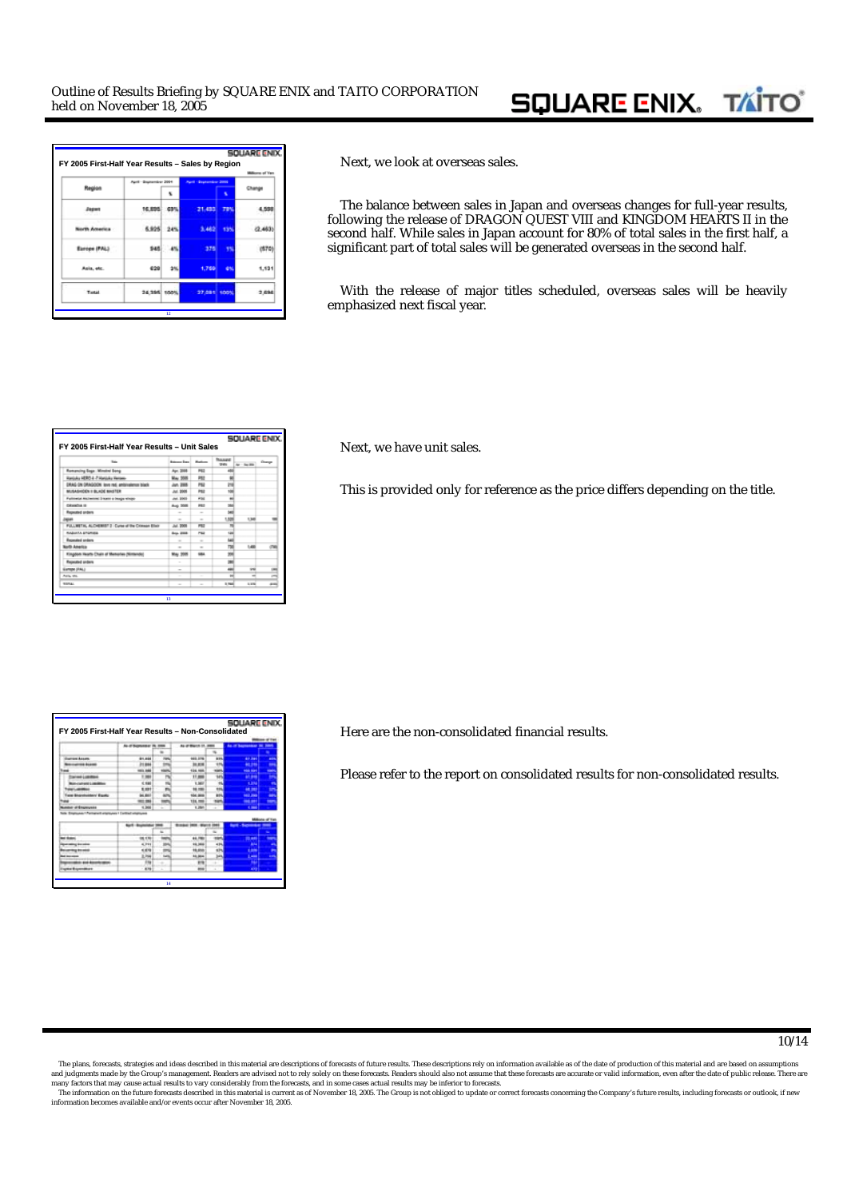# **SQUARE ENIX. TAITO**

|                      |                        |           |                              |            | <b>kora</b> of Yan |
|----------------------|------------------------|-----------|------------------------------|------------|--------------------|
| Region               | April - Suptamber 2004 |           | <b>Ront - September 2005</b> |            |                    |
|                      |                        | x         |                              |            |                    |
| Japa                 | 16,895                 | 631       |                              | <b>TIM</b> | 55                 |
| <b>North America</b> |                        | 6,925 24% |                              | 13%        | (2,463)            |
| Europe (PAL)         | 945                    | $-45$     | 376                          | 75         |                    |
| Asia, etc.           | 628                    | 3%        | 1,759                        | 6%         | 1.131              |
| Testat               | 24.395 100%            |           | 27.081 100%                  |            | 2,696              |

**FX 2005 Figure Results Half Year Results Half Year Results By Rext, we look at overseas sales.** 

The balance between sales in Japan and overseas changes for full-year results, following the release of *DRAGON QUEST VIII* and *KINGDOM HEARTS II* in the second half. While sales in Japan account for 80% of total sales in the first half, a significant part of total sales will be generated overseas in the second half.

With the release of major titles scheduled, overseas sales will be heavily emphasized next fiscal year.

| FY 2005 First-Half Year Results - Unit Sales      |                     |                 |                                                | <b>SOUARG ENIX</b> |                |
|---------------------------------------------------|---------------------|-----------------|------------------------------------------------|--------------------|----------------|
| <b>San</b>                                        | <b>Edward Stern</b> | <b>Business</b> | <b><i><u>Thomas B</u></i></b><br><b>United</b> | $4x - 2a$ (for     | Dongs          |
| <b>Romancing Gage: Minsted Gong</b>               | Apr. 2006           | P42             | ÷                                              |                    |                |
| Kanjuka HERO & 7 Harduka Weromo-                  | May. 2005           | <b>P63</b>      |                                                |                    |                |
| ERAG-DN DRAGOON love red, ambivalence black       | Jun. 2005           | ma              | m                                              |                    |                |
| MUSASHOEN II BLACK MINETER                        | Jul. 9906           | PAt             |                                                |                    |                |
| Fullmetal Alchemiec 2 loans a beage whole-        | Jul. 2003           | <b>POL</b>      | ٠                                              |                    |                |
| <b>CAMPOS II</b>                                  | Aug. 2001           | <b>PRE</b>      | <b>SMA</b>                                     |                    |                |
| Repeated anders                                   | $\sim$              | $\sim$          | ter                                            |                    |                |
| <b>Home</b>                                       | $\sim$              | $\sim$          | 1,526                                          | 1,346              |                |
| FULLWITH, ALCHEMENT 2 Curse of the Crimean Elleth | Jul. 2009           | <b>PEE</b>      | $\overline{\phantom{a}}$                       |                    |                |
| <b>RADIATA STORIES</b>                            | <b>Sea. 2008</b>    | P62             | <b>KSK</b>                                     |                    |                |
| <b>Recorded series</b>                            | $\sim$              | $\sim$          | hai.                                           |                    |                |
| <b>Borth America</b>                              | $\sim$              | $\sim$          | TM                                             | <b>Called</b>      | m              |
| Kingdom Hearts Chain of Menustes (Nintendo)       | May 2009            | <b>SIRA</b>     | m                                              |                    |                |
| <b>Repeated orders</b>                            | $\sim$              |                 | <b>SM</b>                                      |                    |                |
| Europe (FAL)                                      | $\sim$              |                 | and                                            | <b>VII</b>         | œ              |
| Asia att.                                         | $\sim$              | $\sim$          | $\overline{\phantom{a}}$                       | ÷                  | m              |
| <b>SORAL</b>                                      | $\sim$              | $\sim$          | 3,760                                          | <b>LONG</b>        | $\overline{a}$ |

**FX Figure Figure 1005 Figure 1005 Figure 1005 Figure 3.15 Figure 3.15 Figure 3.15 Figure 3.15 Figure 3.15 Figure 3.15 Figure 3.15 Figure 3.15 Figure 3.15 Figure 3.15 Figure 3.15 Figure 3.15 Figure 3.15 Figure 3.15 Figure** 

This is provided only for reference as the price differs depending on the title.

|                                                       |                          |                |                     |        |                           | <b><i><u>• 4 TH</u></i></b> |
|-------------------------------------------------------|--------------------------|----------------|---------------------|--------|---------------------------|-----------------------------|
|                                                       | As of buyers are in men. |                | As or Much 11, 2008 |        | As of harmonical by 2006. |                             |
|                                                       |                          |                |                     |        |                           |                             |
| wrom Assets                                           | 81,894                   | <b>FWW</b>     | 903.274             | in me. | <b>AP 24</b>              | m                           |
| <b>CALLAGE</b>                                        | 21984                    | <b>ima</b>     | 31,816              |        | 44,944                    | ٠                           |
| -                                                     | 69,944                   | $\cdots$       | 124, 104,           |        | <b>Hall San</b>           | ٠                           |
| <b>STARF LIGHTING</b>                                 | 1,984                    | $\overline{ }$ | 11,898              |        | <b>Part of</b>            | ÷                           |
| contracts Listadena                                   | 1,194                    |                | 1,567               |        | 1,314                     | ٠                           |
|                                                       | 5, 1981                  | m              | 14.195              |        | <b>ARC (998)</b>          | w                           |
| a Brantvistor Esato                                   | <b>MARI</b>              | <b>APR</b>     | 104,000             |        | <b>MAR JOHN</b>           | ٠                           |
|                                                       | m                        |                | 134, 198            |        | <b>Secure</b>             | œ                           |
| new artnamyses                                        | 1,366                    | ۰              | 1,295               |        | $\sim$                    |                             |
| de Employee/17 entered engineer 1 Entitled educations |                          |                |                     |        | <b>Bank - Romanska</b>    | <b>MAINTEN</b><br>-         |
|                                                       |                          |                |                     |        |                           |                             |
|                                                       |                          |                |                     |        |                           | ╺                           |
|                                                       | 150                      |                | 44.780              |        |                           |                             |
|                                                       | 1.744                    | ш              | 16,366              |        |                           |                             |
|                                                       | 4, 479                   |                | 16,655              |        | <b>Card</b>               | ٠                           |
| <b>A DOG HOME</b>                                     | 3.744                    | <b>August</b>  | 11,554              |        | <b>East</b>               | ٠                           |
| --                                                    | in ka                    |                | <b>FTE</b>          | ٠      |                           |                             |

**FY 2005 First FY 2005 First-Half Year Results Half Year Results – Non-Consolidated Consolidated** Here are the non-consolidated financial results.

Please refer to the report on consolidated results for non-consolidated results.

The plans, forecasts, strategies and ideas described in this material are descriptions of forecasts of future results. These descriptions rely on information available as of the date of production of this material and are and judgments made by the Group's management. Readers are advised not to rely solely on these forecasts. Readers should also not assume that these forecasts are accurate or valid information, even after the date of public

The information on the future forecasts described in this material is current as of November 18, 2005. The Group is not obliged to update or correct forecasts concerning the Company's future results, including forecasts or information becomes available and/or events occur after November 18, 2005.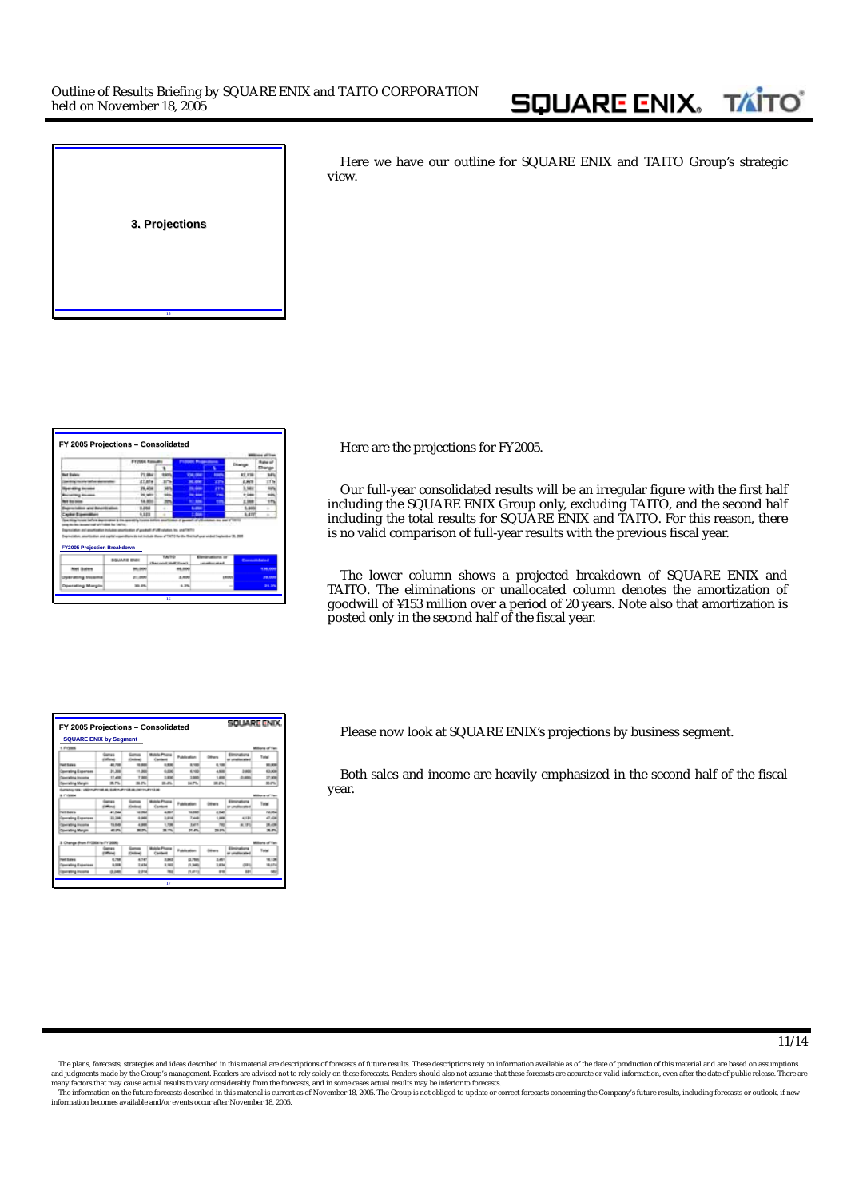

Here we have our outline for SQUARE ENIX and TAITO Group's strategic view.

|                                    |                                                                                                                                                                                                                      | <b>FY2004 Rose</b> |                    |       | <b><i><u>Property of the Contract of the Contract of the Contract of the Contract of the Contract of the Contract of the Contract of the Contract of the Contract of the Contract of the Contract of the Contract of the Contract of</u></i></b> |                              | <b>Clicate</b> |         |
|------------------------------------|----------------------------------------------------------------------------------------------------------------------------------------------------------------------------------------------------------------------|--------------------|--------------------|-------|--------------------------------------------------------------------------------------------------------------------------------------------------------------------------------------------------------------------------------------------------|------------------------------|----------------|---------|
| at Sales                           |                                                                                                                                                                                                                      | 73,984             |                    |       | <b>CALIFORNIA</b>                                                                                                                                                                                                                                | <b>North</b>                 | 82,738         | ы       |
| <b>Market Market</b>               |                                                                                                                                                                                                                      | at are             |                    |       | <b>Ball West</b>                                                                                                                                                                                                                                 | zm.                          | 2,828          |         |
|                                    |                                                                                                                                                                                                                      | 26,414             |                    |       | <b>PA GAME</b>                                                                                                                                                                                                                                   | 29%                          | 1,588          |         |
|                                    |                                                                                                                                                                                                                      | 24,961             |                    |       | <b>THE SHOP</b>                                                                                                                                                                                                                                  | <b>EYN</b>                   | $+1004$        |         |
|                                    |                                                                                                                                                                                                                      | 14,854             |                    |       | ---                                                                                                                                                                                                                                              | <b>TIP</b>                   | 1,588          |         |
| wind Scouttlet silent              |                                                                                                                                                                                                                      | 1,868              |                    |       | <b>Links</b>                                                                                                                                                                                                                                     |                              | 5.860          |         |
| who Equivalent                     |                                                                                                                                                                                                                      | 9,322              |                    |       | . .                                                                                                                                                                                                                                              |                              | <b>BATT</b>    |         |
| <b>FY2005 Projection Breakdown</b> | Koalian includes assortination of goodsell of UK colution, Inc. and TAFFO<br>searchages and capital expenditure its naturalists three of TMTC-To the first half use scient begins by 19. 200<br><b>BOLIARIE ENEK</b> |                    | TAFFE              |       |                                                                                                                                                                                                                                                  | Electrodisco or              | Consolidation  |         |
| <b>Root Sudare</b>                 |                                                                                                                                                                                                                      |                    | (Become Hall Team) |       |                                                                                                                                                                                                                                                  | <b><i>LESSARING MAIL</i></b> |                |         |
|                                    |                                                                                                                                                                                                                      |                    |                    |       |                                                                                                                                                                                                                                                  |                              |                | 134,000 |
|                                    |                                                                                                                                                                                                                      |                    |                    |       |                                                                                                                                                                                                                                                  |                              |                |         |
| Operating Income                   | 37,000                                                                                                                                                                                                               |                    |                    | 3,655 |                                                                                                                                                                                                                                                  |                              | <b>LANDON</b>  | 39.00   |

**16**

**Figurer Here are the projections for FY2005.** 

Our full-year consolidated results will be an irregular figure with the first half including the SQUARE ENIX Group only, excluding TAITO, and the second half including the total results for SQUARE ENIX and TAITO. For this reason, there is no valid comparison of full-year results with the previous fiscal year.

The lower column shows a projected breakdown of SQUARE ENIX and TAITO. The eliminations or unallocated column denotes the amortization of goodwill of ¥153 million over a period of 20 years. Note also that amortization is posted only in the second half of the fiscal year.

| FY 2005 Projections - Consolidated |                                 |                                |                                |                |                  | SOLIARE ENIX.                   |                        |
|------------------------------------|---------------------------------|--------------------------------|--------------------------------|----------------|------------------|---------------------------------|------------------------|
| <b>SQUARE ENIX by Segment</b>      |                                 |                                |                                |                |                  |                                 |                        |
| 1. Friends                         |                                 |                                |                                |                |                  |                                 | lons of Yel            |
|                                    | Comes                           | Genus<br><b>Hinders</b>        | <b>Mobile Phone</b><br>Estate  | Publication    | <b>Monroe</b>    | Elminators                      | Total                  |
| <b>Net Rales</b>                   | 48,708                          | 10.000                         | 5,500                          | 8,596          | 4.100            |                                 | <b>MIL 0006</b>        |
| wating it spenses                  | 31,308                          | 11,500                         | 6,000                          | 6,100          | 4,500            | 5,600                           | 63,000                 |
|                                    | 17,400                          | 7.900                          | 1,500                          | 11,500         | 1,400            | $2 - 800$                       | 12,500                 |
| <b>Connecting Mangin</b>           | 38.7%                           | 39.2%                          | 28.4%                          | <b>240,7%</b>  | 36,2%            |                                 | 30.0%                  |
|                                    | <b>STAR</b>                     | <b>Sansa</b><br><b>Kindowi</b> | <b>Mobile Phone</b><br>Eastern | Publication    | <b>Diffusive</b> | Elementary<br>ar unafterete     | Tyte                   |
| <b>Sent Barbon</b>                 | 41,044                          | 12,003                         | 4,887                          | 12,484         | 3.648            |                                 | 73, 84,                |
|                                    | 23, 364                         | 4,644                          | 3,614                          | 3,646          | <b>Limited</b>   | 4.58                            | 47,404                 |
| <b>Dearwing Expenses</b>           |                                 |                                |                                |                |                  |                                 |                        |
| lpeating license                   | 19.046                          | 4.946                          | 1,796                          | 3,417          |                  | 46, 1970                        | 38,436                 |
| <b>Services Margon</b>             | an.                             | 黒色                             | <b>MTV</b>                     | 31.4%          | 28.8%            |                                 | <b>MATH</b>            |
| 3. Change Brom F10004 lis FY 2000. |                                 |                                |                                |                |                  |                                 | <b>Millions of Yar</b> |
|                                    | <b>Company</b><br><b>Window</b> | Genes<br><b>IDrobnet</b>       | <b>Mobile Phone</b><br>Content | Publication    | <b>Mount</b>     | Elminations<br>at untalian alla | <b>Tune</b>            |
| <b>Sand Stations</b>               | 4.758                           | 4,547                          | 3,543                          | GL7986         | 3.40             |                                 | 98,136                 |
| <b>Committy Experient</b>          | 4,000                           | 2.434                          | 3,140                          | <b>PL 3400</b> | 3,404            | <b>GERA</b>                     | 10,474                 |
|                                    | 0.248                           | 3,314                          | <b>Hair</b>                    | <b>PLAYED</b>  | $\cdots$         | XH1                             | <b>Mill</b>            |

Please now look at SQUARE ENIX's projections by business segment.

Both sales and income are heavily emphasized in the second half of the fiscal year.

The plans, forecasts, strategies and ideas described in this material are descriptions of forecasts of future results. These descriptions rely on information available as of the date of production of this material and are and judgments made by the Group's management. Readers are advised not to rely solely on these forecasts. Readers should also not assume that these forecasts are accurate or valid information, even after the date of public

The information on the future forecasts described in this material is current as of November 18, 2005. The Group is not obliged to update or correct forecasts concerning the Company's future results, including forecasts or information becomes available and/or events occur after November 18, 2005.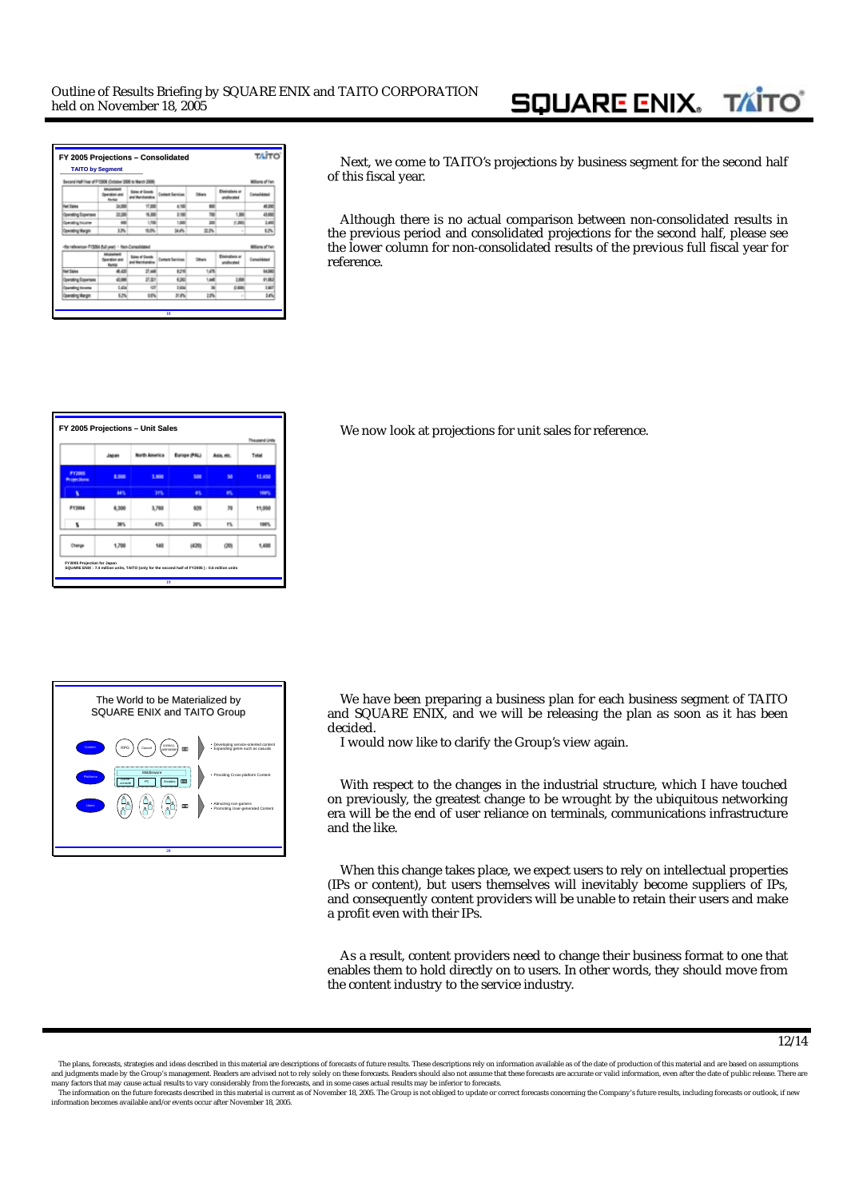#### **SQUARE ENIX. TAIT**

| Second Half Year of F13306 (October 2005 to Warch 2006) |                                             |                                            |                         |               |                               | Millions of Yer |
|---------------------------------------------------------|---------------------------------------------|--------------------------------------------|-------------------------|---------------|-------------------------------|-----------------|
|                                                         | <b><i>Detailed MAI</i></b><br><b>Rental</b> | <b>Sales of Goods</b><br>and the chandise  | <b>Content Services</b> | <b>Others</b> | Elminations or<br>anahurata i | Consolidated    |
| <b>Get Sales</b>                                        | <b>SUBB</b>                                 | 17,900                                     | 七川                      | 900           |                               | 48,000          |
| Operating Expenses                                      | 10.296                                      | $-8,300$                                   | 3.586                   | 700           | 1,386                         | 43,600          |
| Operating income                                        | <b>AM</b>                                   | 1,700                                      | 1,000                   | 350           | 0.385                         | 1400            |
| <b>Covrating Wargin</b>                                 | 13%                                         | 10.0%                                      | 34.4%                   | 22%           | $\sim$                        | 62%             |
|                                                         |                                             |                                            |                         |               |                               |                 |
| for reference-F12004 flull year! - Non-Consolidated     |                                             |                                            |                         |               |                               | Millions of Yes |
|                                                         | <b>Counties</b> and<br><b>Burgui</b>        | <b>Sales of Goods</b><br>and the chandical | <b>Contact Services</b> | <b>DOMN</b>   | Electrology or<br>unaharatwi  | Consolidated    |
| <b>Get Sales</b>                                        | 4.05                                        | 27.648                                     | \$28                    | 1.0%          |                               | 64,580          |
| <b>Operating Expenses</b>                               | 47,998                                      | 武器                                         | 4,96                    | 1.445         | 1:400                         | 01,653          |
| <b>Operating Income</b>                                 | 0.454                                       | 427                                        | <b>1986</b>             | $^{16}$       | 0.600                         | 1507            |

Next, we come to TAITO's projections by business segment for the second half of this fiscal year.

Although there is no actual comparison between non-consolidated results in the previous period and consolidated projections for the second half, please see the lower column for non-consolidated results of the previous full fiscal year for reference.

|                                     | Japan | North America | <b>Burnoe (PAL)</b> | Asia, etc. | Total       |
|-------------------------------------|-------|---------------|---------------------|------------|-------------|
| <b>FY2005</b><br><b>Projections</b> | 1.000 | 3,900         | 500                 | 58         | 12,450      |
| ٠                                   | 84%   | <b>STR</b>    | n                   | ĸ          | <b>THEY</b> |
| FY2004                              | 6,300 | 3,760         | 939                 | 39         | 11,050      |
| ۲                                   | 38%   | 43%           | 28%                 | 1%         | 100%        |
| Change                              | 1,700 | 140           | (420)               | (20)       | 1,400       |

**FY 2005 Projections FY 2005 Projections – Unit Sales Unit Sales** We now look at projections for unit sales for reference.



We have been preparing a business plan for each business segment of TAITO and SQUARE ENIX, and we will be releasing the plan as soon as it has been decided.

I would now like to clarify the Group's view again.

With respect to the changes in the industrial structure, which I have touched on previously, the greatest change to be wrought by the ubiquitous networking era will be the end of user reliance on terminals, communications infrastructure and the like.

When this change takes place, we expect users to rely on intellectual properties (IPs or content), but users themselves will inevitably become suppliers of IPs, and consequently content providers will be unable to retain their users and make a profit even with their IPs.

As a result, content providers need to change their business format to one that enables them to hold directly on to users. In other words, they should move from the content industry to the service industry.

The plans, forecasts, strategies and ideas described in this material are descriptions of forecasts of future results. These descriptions rely on information available as of the date of production of this material and are and judgments made by the Group's management. Readers are advised not to rely solely on these forecasts. Readers should also not assume that these forecasts are accurate or valid information, even after the date of public

The information on the future forecasts described in this material is current as of November 18, 2005. The Group is not obliged to update or correct forecasts concerning the Company's future results, including forecasts or information becomes available and/or events occur after November 18, 2005.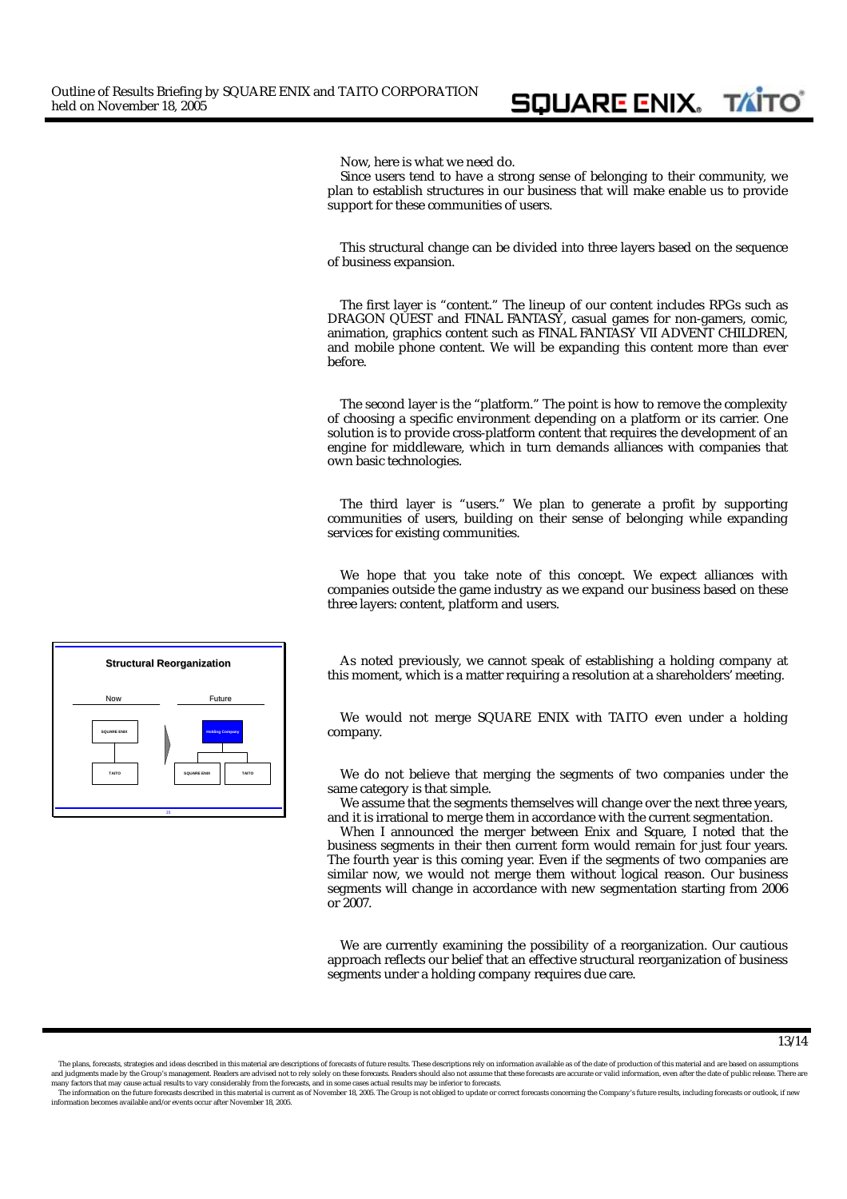Now, here is what we need do.

Since users tend to have a strong sense of belonging to their community, we plan to establish structures in our business that will make enable us to provide support for these communities of users.

**SQUARE ENIX. TATO** 

This structural change can be divided into three layers based on the sequence of business expansion.

The first layer is "content." The lineup of our content includes RPGs such as *DRAGON QUEST* and *FINAL FANTASY*, casual games for non-gamers, comic, animation, graphics content such as *FINAL FANTASY VII ADVENT CHILDREN*, and mobile phone content. We will be expanding this content more than ever before.

The second layer is the "platform." The point is how to remove the complexity of choosing a specific environment depending on a platform or its carrier. One solution is to provide cross-platform content that requires the development of an engine for middleware, which in turn demands alliances with companies that own basic technologies.

The third layer is "users." We plan to generate a profit by supporting communities of users, building on their sense of belonging while expanding services for existing communities.

We hope that you take note of this concept. We expect alliances with companies outside the game industry as we expand our business based on these three layers: content, platform and users.

**Structural Reorganization Structural Reorganization As noted previously, we cannot speak of establishing a holding company at** this moment, which is a matter requiring a resolution at a shareholders' meeting.

> We would not merge SQUARE ENIX with TAITO even under a holding company.

> We do not believe that merging the segments of two companies under the same category is that simple.

> We assume that the segments themselves will change over the next three years, and it is irrational to merge them in accordance with the current segmentation.

> When I announced the merger between Enix and Square, I noted that the business segments in their then current form would remain for just four years. The fourth year is this coming year. Even if the segments of two companies are similar now, we would not merge them without logical reason. Our business segments will change in accordance with new segmentation starting from 2006 or 2007.

> We are currently examining the possibility of a reorganization. Our cautious approach reflects our belief that an effective structural reorganization of business segments under a holding company requires due care.



The plans, forecasts, strategies and ideas described in this material are descriptions of forecasts of future results. These descriptions rely on information available as of the date of production of this material and are and judgments made by the Group's management. Readers are advised not to rely solely on these forecasts. Readers should also not assume that these forecasts are accurate or valid information, even after the date of public



The information on the future forecasts described in this material is current as of November 18, 2005. The Group is not obliged to update or correct forecasts concerning the Company's future results, including forecasts or information becomes available and/or events occur after November 18, 2005.